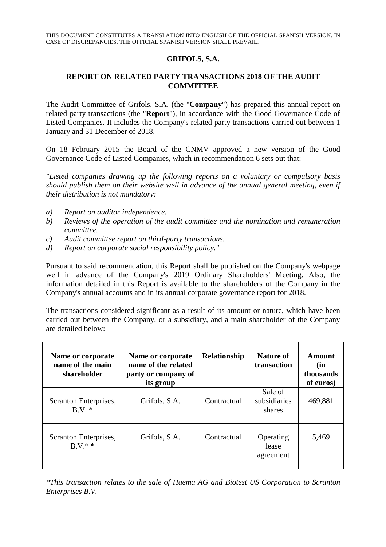## **GRIFOLS, S.A.**

## **REPORT ON RELATED PARTY TRANSACTIONS 2018 OF THE AUDIT COMMITTEE**

The Audit Committee of Grifols, S.A. (the "**Company**") has prepared this annual report on related party transactions (the "**Report**"), in accordance with the Good Governance Code of Listed Companies. It includes the Company's related party transactions carried out between 1 January and 31 December of 2018.

On 18 February 2015 the Board of the CNMV approved a new version of the Good Governance Code of Listed Companies, which in recommendation 6 sets out that:

*"Listed companies drawing up the following reports on a voluntary or compulsory basis should publish them on their website well in advance of the annual general meeting, even if their distribution is not mandatory:* 

- *a) Report on auditor independence.*
- *b) Reviews of the operation of the audit committee and the nomination and remuneration committee.*
- *c) Audit committee report on third-party transactions.*
- *d) Report on corporate social responsibility policy."*

Pursuant to said recommendation, this Report shall be published on the Company's webpage well in advance of the Company's 2019 Ordinary Shareholders' Meeting. Also, the information detailed in this Report is available to the shareholders of the Company in the Company's annual accounts and in its annual corporate governance report for 2018.

The transactions considered significant as a result of its amount or nature, which have been carried out between the Company, or a subsidiary, and a main shareholder of the Company are detailed below:

| Name or corporate<br>name of the main<br>shareholder | Name or corporate<br>name of the related<br>party or company of<br>its group | <b>Relationship</b> | Nature of<br>transaction          | Amount<br>(in<br>thousands<br>of euros) |
|------------------------------------------------------|------------------------------------------------------------------------------|---------------------|-----------------------------------|-----------------------------------------|
| Scranton Enterprises,<br>B.V.                        | Grifols, S.A.                                                                | Contractual         | Sale of<br>subsidiaries<br>shares | 469,881                                 |
| Scranton Enterprises,<br>$B.V.*$                     | Grifols, S.A.                                                                | Contractual         | Operating<br>lease<br>agreement   | 5,469                                   |

*\*This transaction relates to the sale of Haema AG and Biotest US Corporation to Scranton Enterprises B.V.*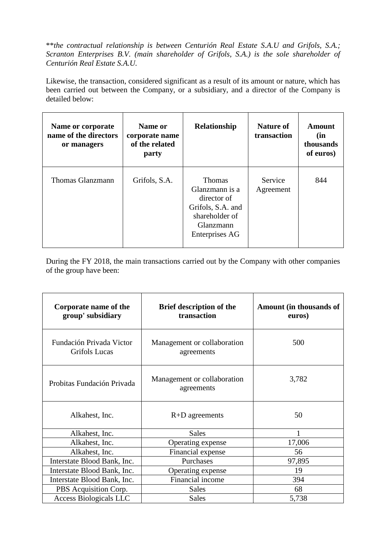\*\**the contractual relationship is between Centurión Real Estate S.A.U and Grifols, S.A.; Scranton Enterprises B.V. (main shareholder of Grifols, S.A.) is the sole shareholder of Centurión Real Estate S.A.U.* 

Likewise, the transaction, considered significant as a result of its amount or nature, which has been carried out between the Company, or a subsidiary, and a director of the Company is detailed below:

| Name or corporate<br>name of the directors<br>or managers | Name or<br>corporate name<br>of the related<br>party | Relationship                                                                                                         | <b>Nature of</b><br>transaction | Amount<br>(in<br>thousands<br>of euros) |
|-----------------------------------------------------------|------------------------------------------------------|----------------------------------------------------------------------------------------------------------------------|---------------------------------|-----------------------------------------|
| Thomas Glanzmann                                          | Grifols, S.A.                                        | <b>Thomas</b><br>Glanzmann is a<br>director of<br>Grifols, S.A. and<br>shareholder of<br>Glanzmann<br>Enterprises AG | Service<br>Agreement            | 844                                     |

During the FY 2018, the main transactions carried out by the Company with other companies of the group have been:

| Corporate name of the<br>group' subsidiary | <b>Brief description of the</b><br>transaction | <b>Amount</b> (in thousands of<br>euros) |
|--------------------------------------------|------------------------------------------------|------------------------------------------|
| Fundación Privada Victor<br>Grifols Lucas  | Management or collaboration<br>agreements      | 500                                      |
| Probitas Fundación Privada                 | Management or collaboration<br>agreements      | 3,782                                    |
| Alkahest, Inc.                             | $R+D$ agreements                               | 50                                       |
| Alkahest, Inc.                             | <b>Sales</b>                                   |                                          |
| Alkahest, Inc.                             | Operating expense                              | 17,006                                   |
| Alkahest, Inc.                             | Financial expense                              | 56                                       |
| Interstate Blood Bank, Inc.                | Purchases                                      | 97,895                                   |
| Interstate Blood Bank, Inc.                | Operating expense                              | 19                                       |
| Interstate Blood Bank, Inc.                | Financial income                               | 394                                      |
| PBS Acquisition Corp.                      | <b>Sales</b>                                   | 68                                       |
| <b>Access Biologicals LLC</b>              | <b>Sales</b>                                   | 5,738                                    |